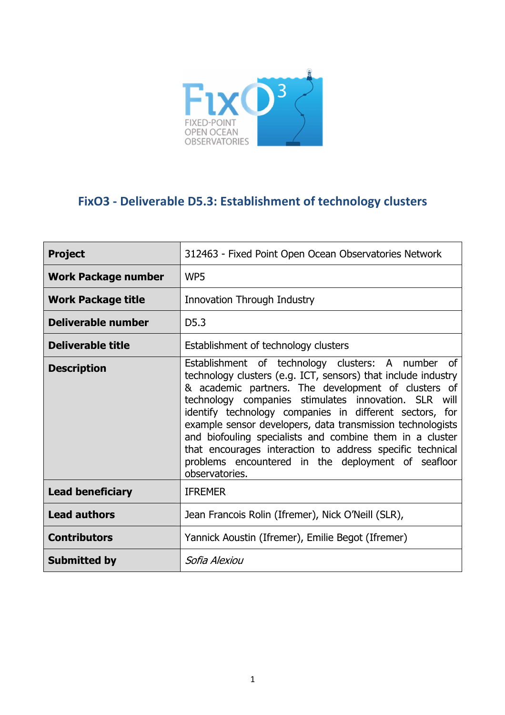

# **FixO3 - Deliverable D5.3: Establishment of technology clusters**

| <b>Project</b>             | 312463 - Fixed Point Open Ocean Observatories Network                                                                                                                                                                                                                                                                                                                                                                                                                                                                                                       |  |  |
|----------------------------|-------------------------------------------------------------------------------------------------------------------------------------------------------------------------------------------------------------------------------------------------------------------------------------------------------------------------------------------------------------------------------------------------------------------------------------------------------------------------------------------------------------------------------------------------------------|--|--|
| <b>Work Package number</b> | WP5                                                                                                                                                                                                                                                                                                                                                                                                                                                                                                                                                         |  |  |
| <b>Work Package title</b>  | Innovation Through Industry                                                                                                                                                                                                                                                                                                                                                                                                                                                                                                                                 |  |  |
| Deliverable number         | D <sub>5.3</sub>                                                                                                                                                                                                                                                                                                                                                                                                                                                                                                                                            |  |  |
| Deliverable title          | Establishment of technology clusters                                                                                                                                                                                                                                                                                                                                                                                                                                                                                                                        |  |  |
| <b>Description</b>         | Establishment of technology clusters: A number of<br>technology clusters (e.g. ICT, sensors) that include industry<br>& academic partners. The development of clusters of<br>technology companies stimulates innovation. SLR will<br>identify technology companies in different sectors, for<br>example sensor developers, data transmission technologists<br>and biofouling specialists and combine them in a cluster<br>that encourages interaction to address specific technical<br>problems encountered in the deployment of seafloor<br>observatories. |  |  |
| <b>Lead beneficiary</b>    | <b>IFREMER</b>                                                                                                                                                                                                                                                                                                                                                                                                                                                                                                                                              |  |  |
| <b>Lead authors</b>        | Jean Francois Rolin (Ifremer), Nick O'Neill (SLR),                                                                                                                                                                                                                                                                                                                                                                                                                                                                                                          |  |  |
| <b>Contributors</b>        | Yannick Aoustin (Ifremer), Emilie Begot (Ifremer)                                                                                                                                                                                                                                                                                                                                                                                                                                                                                                           |  |  |
| <b>Submitted by</b>        | Sofia Alexiou                                                                                                                                                                                                                                                                                                                                                                                                                                                                                                                                               |  |  |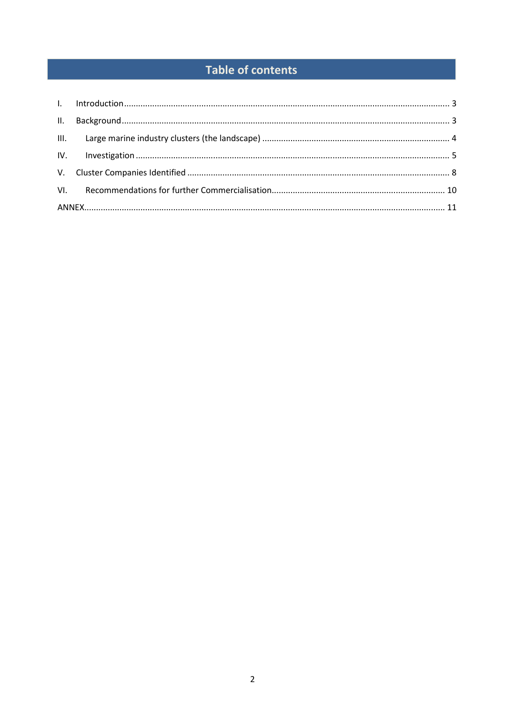# **Table of contents**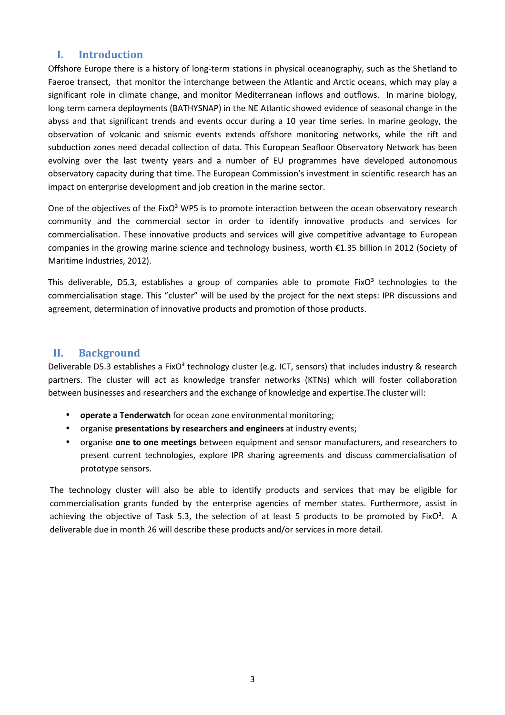### **I. Introduction**

Offshore Europe there is a history of long-term stations in physical oceanography, such as the Shetland to Faeroe transect, that monitor the interchange between the Atlantic and Arctic oceans, which may play a significant role in climate change, and monitor Mediterranean inflows and outflows. In marine biology, long term camera deployments (BATHYSNAP) in the NE Atlantic showed evidence of seasonal change in the abyss and that significant trends and events occur during a 10 year time series. In marine geology, the observation of volcanic and seismic events extends offshore monitoring networks, while the rift and subduction zones need decadal collection of data. This European Seafloor Observatory Network has been evolving over the last twenty years and a number of EU programmes have developed autonomous observatory capacity during that time. The European Commission's investment in scientific research has an impact on enterprise development and job creation in the marine sector.

One of the objectives of the FixO<sup>3</sup> WP5 is to promote interaction between the ocean observatory research community and the commercial sector in order to identify innovative products and services for commercialisation. These innovative products and services will give competitive advantage to European companies in the growing marine science and technology business, worth €1.35 billion in 2012 (Society of Maritime Industries, 2012).

This deliverable, D5.3, establishes a group of companies able to promote FixO $3$  technologies to the commercialisation stage. This "cluster" will be used by the project for the next steps: IPR discussions and agreement, determination of innovative products and promotion of those products.

#### **II. Background**

Deliverable D5.3 establishes a FixO<sup>3</sup> technology cluster (e.g. ICT, sensors) that includes industry & research partners. The cluster will act as knowledge transfer networks (KTNs) which will foster collaboration between businesses and researchers and the exchange of knowledge and expertise.The cluster will:

- **operate a Tenderwatch** for ocean zone environmental monitoring;
- organise **presentations by researchers and engineers** at industry events;
- organise **one to one meetings** between equipment and sensor manufacturers, and researchers to present current technologies, explore IPR sharing agreements and discuss commercialisation of prototype sensors.

The technology cluster will also be able to identify products and services that may be eligible for commercialisation grants funded by the enterprise agencies of member states. Furthermore, assist in achieving the objective of Task 5.3, the selection of at least 5 products to be promoted by Fix $O<sup>3</sup>$ . A deliverable due in month 26 will describe these products and/or services in more detail.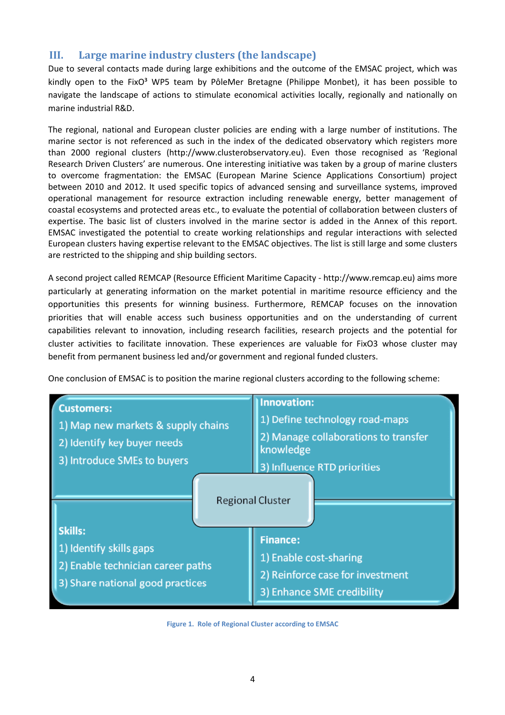# **III. Large marine industry clusters (the landscape)**

Due to several contacts made during large exhibitions and the outcome of the EMSAC project, which was kindly open to the FixO<sup>3</sup> WP5 team by PôleMer Bretagne (Philippe Monbet), it has been possible to navigate the landscape of actions to stimulate economical activities locally, regionally and nationally on marine industrial R&D.

The regional, national and European cluster policies are ending with a large number of institutions. The marine sector is not referenced as such in the index of the dedicated observatory which registers more than 2000 regional clusters (http://www.clusterobservatory.eu). Even those recognised as 'Regional Research Driven Clusters' are numerous. One interesting initiative was taken by a group of marine clusters to overcome fragmentation: the EMSAC (European Marine Science Applications Consortium) project between 2010 and 2012. It used specific topics of advanced sensing and surveillance systems, improved operational management for resource extraction including renewable energy, better management of coastal ecosystems and protected areas etc., to evaluate the potential of collaboration between clusters of expertise. The basic list of clusters involved in the marine sector is added in the Annex of this report. EMSAC investigated the potential to create working relationships and regular interactions with selected European clusters having expertise relevant to the EMSAC objectives. The list is still large and some clusters are restricted to the shipping and ship building sectors.

A second project called REMCAP (Resource Efficient Maritime Capacity - http://www.remcap.eu) aims more particularly at generating information on the market potential in maritime resource efficiency and the opportunities this presents for winning business. Furthermore, REMCAP focuses on the innovation priorities that will enable access such business opportunities and on the understanding of current capabilities relevant to innovation, including research facilities, research projects and the potential for cluster activities to facilitate innovation. These experiences are valuable for FixO3 whose cluster may benefit from permanent business led and/or government and regional funded clusters.

One conclusion of EMSAC is to position the marine regional clusters according to the following scheme:

| <b>Customers:</b><br>1) Map new markets & supply chains<br>2) Identify key buyer needs<br>3) Introduce SMEs to buyers | <b>Innovation:</b><br>1) Define technology road-maps<br>2) Manage collaborations to transfer<br>knowledge<br>3) Influence RTD priorities |  |
|-----------------------------------------------------------------------------------------------------------------------|------------------------------------------------------------------------------------------------------------------------------------------|--|
| Skills:                                                                                                               | <b>Regional Cluster</b>                                                                                                                  |  |
| 1) Identify skills gaps<br>2) Enable technician career paths<br>3) Share national good practices                      | <b>Finance:</b><br>1) Enable cost-sharing<br>2) Reinforce case for investment<br>3) Enhance SME credibility                              |  |

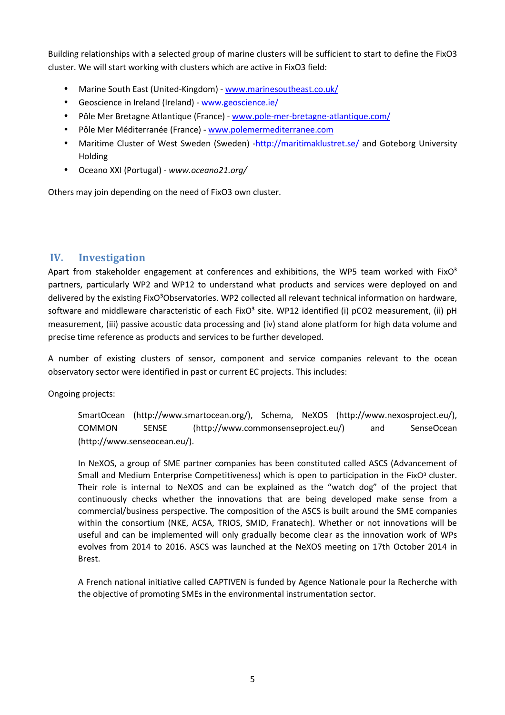Building relationships with a selected group of marine clusters will be sufficient to start to define the FixO3 cluster. We will start working with clusters which are active in FixO3 field:

- Marine South East (United-Kingdom) www.marinesoutheast.co.uk/
- Geoscience in Ireland (Ireland) www.geoscience.ie/
- Pôle Mer Bretagne Atlantique (France) www.pole-mer-bretagne-atlantique.com/
- Pôle Mer Méditerranée (France) www.polemermediterranee.com
- Maritime Cluster of West Sweden (Sweden) -http://maritimaklustret.se/ and Goteborg University Holding
- Oceano XXI (Portugal) *www.oceano21.org/*

Others may join depending on the need of FixO3 own cluster.

### **IV. Investigation**

Apart from stakeholder engagement at conferences and exhibitions, the WP5 team worked with FixO<sup>3</sup> partners, particularly WP2 and WP12 to understand what products and services were deployed on and delivered by the existing FixO<sup>3</sup>Observatories. WP2 collected all relevant technical information on hardware, software and middleware characteristic of each FixO<sup>3</sup> site. WP12 identified (i) pCO2 measurement, (ii) pH measurement, (iii) passive acoustic data processing and (iv) stand alone platform for high data volume and precise time reference as products and services to be further developed.

A number of existing clusters of sensor, component and service companies relevant to the ocean observatory sector were identified in past or current EC projects. This includes:

Ongoing projects:

SmartOcean (http://www.smartocean.org/), Schema, NeXOS (http://www.nexosproject.eu/), COMMON SENSE (http://www.commonsenseproject.eu/) and SenseOcean (http://www.senseocean.eu/).

In NeXOS, a group of SME partner companies has been constituted called ASCS (Advancement of Small and Medium Enterprise Competitiveness) which is open to participation in the FixO<sup>3</sup> cluster. Their role is internal to NeXOS and can be explained as the "watch dog" of the project that continuously checks whether the innovations that are being developed make sense from a commercial/business perspective. The composition of the ASCS is built around the SME companies within the consortium (NKE, ACSA, TRIOS, SMID, Franatech). Whether or not innovations will be useful and can be implemented will only gradually become clear as the innovation work of WPs evolves from 2014 to 2016. ASCS was launched at the NeXOS meeting on 17th October 2014 in Brest.

A French national initiative called CAPTIVEN is funded by Agence Nationale pour la Recherche with the objective of promoting SMEs in the environmental instrumentation sector.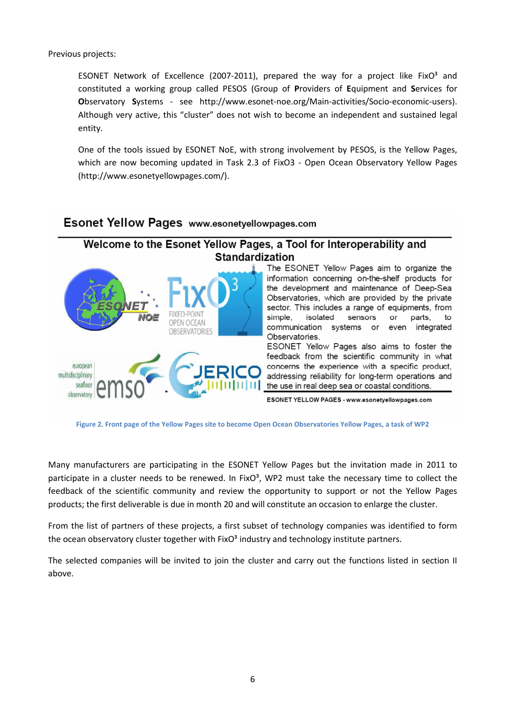Previous projects:

ESONET Network of Excellence (2007-2011), prepared the way for a project like FixO $3$  and constituted a working group called PESOS (Group of **P**roviders of **E**quipment and **S**ervices for **O**bservatory **S**ystems - see http://www.esonet-noe.org/Main-activities/Socio-economic-users). Although very active, this "cluster" does not wish to become an independent and sustained legal entity.

One of the tools issued by ESONET NoE, with strong involvement by PESOS, is the Yellow Pages, which are now becoming updated in Task 2.3 of FixO3 - Open Ocean Observatory Yellow Pages (http://www.esonetyellowpages.com/).

## **Esonet Yellow Pages www.esonetyellowpages.com**

# Welcome to the Esonet Yellow Pages, a Tool for Interoperability and **Standardization**



The ESONET Yellow Pages aim to organize the information concerning on-the-shelf products for the development and maintenance of Deep-Sea Observatories, which are provided by the private sector. This includes a range of equipments, from simple. isolated sensors or parts, to communication systems or even integrated Observatories.

ESONET Yellow Pages also aims to foster the feedback from the scientific community in what concerns the experience with a specific product, addressing reliability for long-term operations and the use in real deep sea or coastal conditions.

ESONET YELLOW PAGES - www.esonetyellowpages.com

**Figure 2. Front page of the Yellow Pages site to become Open Ocean Observatories Yellow Pages, a task of WP2** 

Many manufacturers are participating in the ESONET Yellow Pages but the invitation made in 2011 to participate in a cluster needs to be renewed. In FixO $3$ , WP2 must take the necessary time to collect the feedback of the scientific community and review the opportunity to support or not the Yellow Pages products; the first deliverable is due in month 20 and will constitute an occasion to enlarge the cluster.

From the list of partners of these projects, a first subset of technology companies was identified to form the ocean observatory cluster together with  $FixO<sup>3</sup>$  industry and technology institute partners.

The selected companies will be invited to join the cluster and carry out the functions listed in section II above.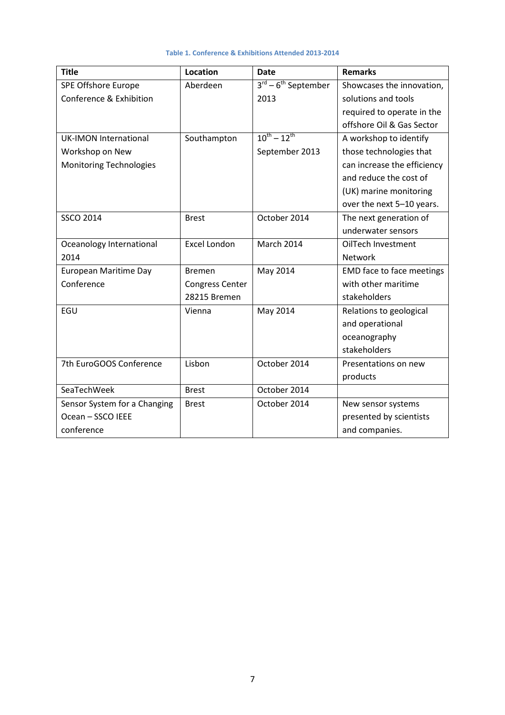| <b>Title</b>                 | <b>Location</b>        | <b>Date</b>                               | <b>Remarks</b>              |
|------------------------------|------------------------|-------------------------------------------|-----------------------------|
| SPE Offshore Europe          | Aberdeen               | $3^{\text{rd}} - 6^{\text{th}}$ September | Showcases the innovation,   |
| Conference & Exhibition      |                        | 2013                                      | solutions and tools         |
|                              |                        |                                           | required to operate in the  |
|                              |                        |                                           | offshore Oil & Gas Sector   |
| <b>UK-IMON International</b> | Southampton            | $10^{th} - 12^{th}$                       | A workshop to identify      |
| Workshop on New              |                        | September 2013                            | those technologies that     |
| Monitoring Technologies      |                        |                                           | can increase the efficiency |
|                              |                        |                                           | and reduce the cost of      |
|                              |                        |                                           | (UK) marine monitoring      |
|                              |                        |                                           | over the next 5-10 years.   |
| <b>SSCO 2014</b>             | <b>Brest</b>           | October 2014                              | The next generation of      |
|                              |                        |                                           | underwater sensors          |
| Oceanology International     | <b>Excel London</b>    | March 2014                                | OilTech Investment          |
| 2014                         |                        |                                           | <b>Network</b>              |
| European Maritime Day        | <b>Bremen</b>          | May 2014                                  | EMD face to face meetings   |
| Conference                   | <b>Congress Center</b> |                                           | with other maritime         |
|                              | 28215 Bremen           |                                           | stakeholders                |
| EGU                          | Vienna                 | May 2014                                  | Relations to geological     |
|                              |                        |                                           | and operational             |
|                              |                        |                                           | oceanography                |
|                              |                        |                                           | stakeholders                |
| 7th EuroGOOS Conference      | Lisbon                 | October 2014                              | Presentations on new        |
|                              |                        |                                           | products                    |
| SeaTechWeek                  | <b>Brest</b>           | October 2014                              |                             |
| Sensor System for a Changing | <b>Brest</b>           | October 2014                              | New sensor systems          |
| Ocean - SSCO IEEE            |                        |                                           | presented by scientists     |
| conference                   |                        |                                           | and companies.              |

#### **Table 1. Conference & Exhibitions Attended 2013-2014**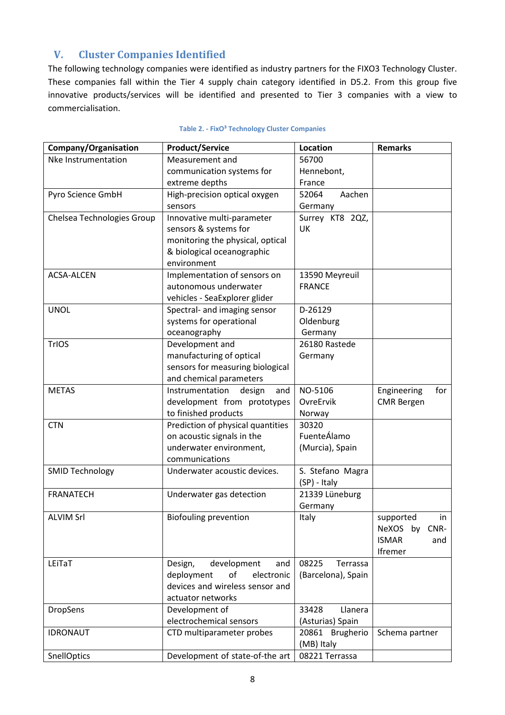# **V. Cluster Companies Identified**

The following technology companies were identified as industry partners for the FIXO3 Technology Cluster. These companies fall within the Tier 4 supply chain category identified in D5.2. From this group five innovative products/services will be identified and presented to Tier 3 companies with a view to commercialisation.

| Company/Organisation       | <b>Product/Service</b>                                            | Location                  | <b>Remarks</b>             |
|----------------------------|-------------------------------------------------------------------|---------------------------|----------------------------|
| Nke Instrumentation        | Measurement and                                                   | 56700                     |                            |
|                            | communication systems for                                         | Hennebont,                |                            |
|                            | extreme depths                                                    | France                    |                            |
| Pyro Science GmbH          | High-precision optical oxygen                                     | 52064<br>Aachen           |                            |
|                            | sensors                                                           | Germany                   |                            |
| Chelsea Technologies Group | Innovative multi-parameter                                        | Surrey KT8 2QZ,           |                            |
|                            | sensors & systems for                                             | UK                        |                            |
|                            | monitoring the physical, optical                                  |                           |                            |
|                            | & biological oceanographic                                        |                           |                            |
|                            | environment                                                       |                           |                            |
| <b>ACSA-ALCEN</b>          | Implementation of sensors on                                      | 13590 Meyreuil            |                            |
|                            | autonomous underwater                                             | <b>FRANCE</b>             |                            |
|                            | vehicles - SeaExplorer glider                                     |                           |                            |
| <b>UNOL</b>                | Spectral- and imaging sensor                                      | D-26129                   |                            |
|                            | systems for operational                                           | Oldenburg                 |                            |
|                            | oceanography                                                      | Germany                   |                            |
| TrIOS                      | Development and                                                   | 26180 Rastede             |                            |
|                            | manufacturing of optical                                          | Germany                   |                            |
|                            | sensors for measuring biological                                  |                           |                            |
|                            | and chemical parameters                                           |                           |                            |
| <b>METAS</b>               | Instrumentation<br>design<br>and                                  | NO-5106                   | Engineering<br>for         |
|                            | development from prototypes                                       | OvreErvik                 | <b>CMR</b> Bergen          |
|                            | to finished products                                              | Norway                    |                            |
| <b>CTN</b>                 | Prediction of physical quantities                                 | 30320                     |                            |
|                            | on acoustic signals in the                                        | FuenteÁlamo               |                            |
|                            | underwater environment,                                           | (Murcia), Spain           |                            |
|                            | communications                                                    |                           |                            |
| <b>SMID Technology</b>     | Underwater acoustic devices.                                      | S. Stefano Magra          |                            |
|                            |                                                                   | (SP) - Italy              |                            |
| <b>FRANATECH</b>           | Underwater gas detection                                          | 21339 Lüneburg            |                            |
|                            |                                                                   | Germany                   |                            |
| <b>ALVIM Srl</b>           | <b>Biofouling prevention</b>                                      | Italy                     | supported<br>in            |
|                            |                                                                   |                           | CNR-<br><b>NeXOS</b><br>by |
|                            |                                                                   |                           | <b>ISMAR</b><br>and        |
|                            |                                                                   |                           | Ifremer                    |
| LEITaT                     | development<br>Design,<br>and                                     | 08225<br>Terrassa         |                            |
|                            | deployment<br>of<br>electronic<br>devices and wireless sensor and | (Barcelona), Spain        |                            |
|                            |                                                                   |                           |                            |
|                            | actuator networks                                                 | 33428<br>Llanera          |                            |
| DropSens                   | Development of<br>electrochemical sensors                         |                           |                            |
|                            |                                                                   | (Asturias) Spain          |                            |
| <b>IDRONAUT</b>            | CTD multiparameter probes                                         | 20861<br><b>Brugherio</b> | Schema partner             |
|                            |                                                                   | (MB) Italy                |                            |
| SnellOptics                | Development of state-of-the art                                   | 08221 Terrassa            |                            |

#### **Table 2. - FixO³ Technology Cluster Companies**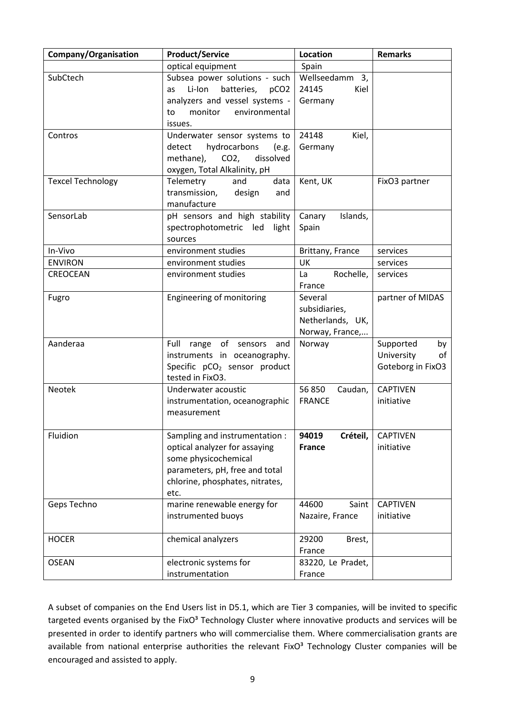| Company/Organisation     | <b>Product/Service</b>                         | Location                          | <b>Remarks</b>    |
|--------------------------|------------------------------------------------|-----------------------------------|-------------------|
|                          | optical equipment                              | Spain                             |                   |
| SubCtech                 | Subsea power solutions - such                  | Wellseedamm 3,                    |                   |
|                          | Li-Ion<br>batteries,<br>as<br>pCO <sub>2</sub> | 24145<br>Kiel                     |                   |
|                          | analyzers and vessel systems -                 | Germany                           |                   |
|                          | monitor<br>environmental<br>to                 |                                   |                   |
|                          | issues.                                        |                                   |                   |
| Contros                  | Underwater sensor systems to                   | Kiel,<br>24148                    |                   |
|                          | hydrocarbons<br>detect<br>(e.g.                | Germany                           |                   |
|                          | CO <sub>2</sub><br>dissolved<br>methane),      |                                   |                   |
|                          | oxygen, Total Alkalinity, pH                   |                                   |                   |
| <b>Texcel Technology</b> | Telemetry<br>and<br>data                       | Kent, UK                          | FixO3 partner     |
|                          | transmission,<br>design<br>and                 |                                   |                   |
|                          | manufacture                                    |                                   |                   |
| SensorLab                | pH sensors and high stability                  | Islands,<br>Canary                |                   |
|                          | spectrophotometric led<br>light                | Spain                             |                   |
|                          | sources                                        |                                   |                   |
| In-Vivo                  | environment studies                            | Brittany, France                  | services          |
| <b>ENVIRON</b>           | environment studies                            | <b>UK</b>                         | services          |
| CREOCEAN                 | environment studies                            | Rochelle,<br>La                   | services          |
|                          |                                                | France                            |                   |
| Fugro                    | Engineering of monitoring                      | Several                           | partner of MIDAS  |
|                          |                                                | subsidiaries,<br>Netherlands, UK, |                   |
|                          |                                                | Norway, France,                   |                   |
| Aanderaa                 | Full<br>range of sensors and                   | Norway                            | Supported<br>by   |
|                          | instruments in oceanography.                   |                                   | University<br>of  |
|                          | Specific pCO <sub>2</sub> sensor product       |                                   | Goteborg in FixO3 |
|                          | tested in FixO3.                               |                                   |                   |
| Neotek                   | Underwater acoustic                            | 56 850<br>Caudan,                 | <b>CAPTIVEN</b>   |
|                          | instrumentation, oceanographic                 | <b>FRANCE</b>                     | initiative        |
|                          | measurement                                    |                                   |                   |
|                          |                                                |                                   |                   |
| Fluidion                 | Sampling and instrumentation :                 | 94019<br>Créteil,                 | <b>CAPTIVEN</b>   |
|                          | optical analyzer for assaying                  | <b>France</b>                     | initiative        |
|                          | some physicochemical                           |                                   |                   |
|                          | parameters, pH, free and total                 |                                   |                   |
|                          | chlorine, phosphates, nitrates,                |                                   |                   |
|                          | etc.                                           |                                   |                   |
| Geps Techno              | marine renewable energy for                    | 44600<br>Saint                    | <b>CAPTIVEN</b>   |
|                          | instrumented buoys                             | Nazaire, France                   | initiative        |
|                          |                                                |                                   |                   |
| <b>HOCER</b>             | chemical analyzers                             | 29200<br>Brest,                   |                   |
|                          |                                                | France                            |                   |
| <b>OSEAN</b>             | electronic systems for                         | 83220, Le Pradet,                 |                   |
|                          | instrumentation                                | France                            |                   |

A subset of companies on the End Users list in D5.1, which are Tier 3 companies, will be invited to specific targeted events organised by the FixO<sup>3</sup> Technology Cluster where innovative products and services will be presented in order to identify partners who will commercialise them. Where commercialisation grants are available from national enterprise authorities the relevant FixO<sup>3</sup> Technology Cluster companies will be encouraged and assisted to apply.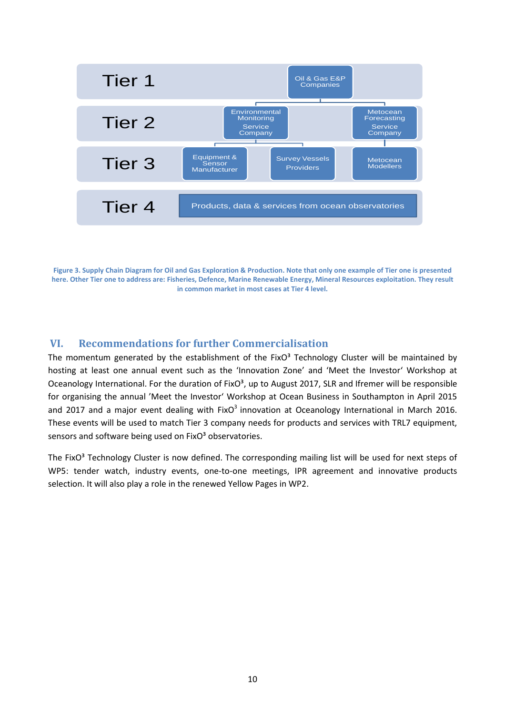

**Figure 3. Supply Chain Diagram for Oil and Gas Exploration & Production. Note that only one example of Tier one is presented here. Other Tier one to address are: Fisheries, Defence, Marine Renewable Energy, Mineral Resources exploitation. They result in common market in most cases at Tier 4 level.** 

#### **VI. Recommendations for further Commercialisation**

The momentum generated by the establishment of the FixO $3$  Technology Cluster will be maintained by hosting at least one annual event such as the 'Innovation Zone' and 'Meet the Investor' Workshop at Oceanology International. For the duration of  $FixO<sup>3</sup>$ , up to August 2017, SLR and Ifremer will be responsible for organising the annual 'Meet the Investor' Workshop at Ocean Business in Southampton in April 2015 and 2017 and a major event dealing with FixO $3$  innovation at Oceanology International in March 2016. These events will be used to match Tier 3 company needs for products and services with TRL7 equipment, sensors and software being used on FixO<sup>3</sup> observatories.

The FixO<sup>3</sup> Technology Cluster is now defined. The corresponding mailing list will be used for next steps of WP5: tender watch, industry events, one-to-one meetings, IPR agreement and innovative products selection. It will also play a role in the renewed Yellow Pages in WP2.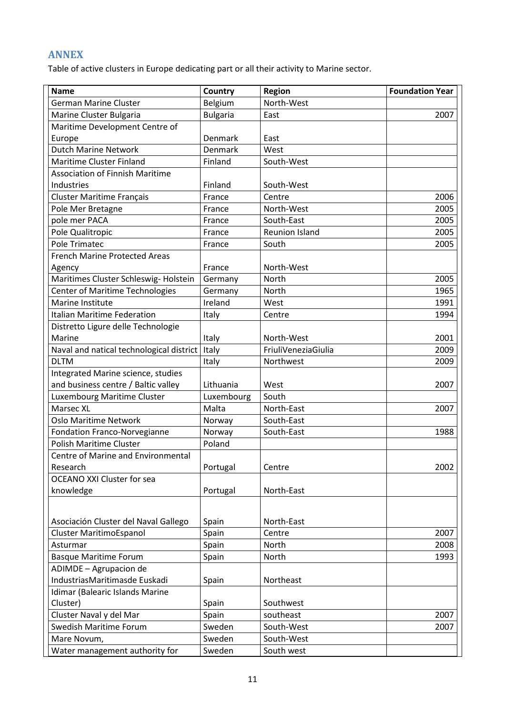# **ANNEX**

Table of active clusters in Europe dedicating part or all their activity to Marine sector.

| <b>Name</b>                              | Country         | Region                | <b>Foundation Year</b> |
|------------------------------------------|-----------------|-----------------------|------------------------|
| <b>German Marine Cluster</b>             | Belgium         | North-West            |                        |
| Marine Cluster Bulgaria                  | <b>Bulgaria</b> | East                  | 2007                   |
| Maritime Development Centre of           |                 |                       |                        |
| Europe                                   | Denmark         | East                  |                        |
| <b>Dutch Marine Network</b>              | Denmark         | West                  |                        |
| Maritime Cluster Finland                 | Finland         | South-West            |                        |
| <b>Association of Finnish Maritime</b>   |                 |                       |                        |
| Industries                               | Finland         | South-West            |                        |
| <b>Cluster Maritime Français</b>         | France          | Centre                | 2006                   |
| Pole Mer Bretagne                        | France          | North-West            | 2005                   |
| pole mer PACA                            | France          | South-East            | 2005                   |
| Pole Qualitropic                         | France          | <b>Reunion Island</b> | 2005                   |
| Pole Trimatec                            | France          | South                 | 2005                   |
| French Marine Protected Areas            |                 |                       |                        |
| Agency                                   | France          | North-West            |                        |
| Maritimes Cluster Schleswig-Holstein     | Germany         | North                 | 2005                   |
| <b>Center of Maritime Technologies</b>   | Germany         | <b>North</b>          | 1965                   |
| Marine Institute                         | Ireland         | West                  | 1991                   |
| <b>Italian Maritime Federation</b>       | Italy           | Centre                | 1994                   |
| Distretto Ligure delle Technologie       |                 |                       |                        |
| Marine                                   | Italy           | North-West            | 2001                   |
| Naval and natical technological district | Italy           | FriuliVeneziaGiulia   | 2009                   |
| <b>DLTM</b>                              | Italy           | Northwest             | 2009                   |
| Integrated Marine science, studies       |                 |                       |                        |
| and business centre / Baltic valley      | Lithuania       | West                  | 2007                   |
| Luxembourg Maritime Cluster              | Luxembourg      | South                 |                        |
| Marsec XL                                | Malta           | North-East            | 2007                   |
| <b>Oslo Maritime Network</b>             | Norway          | South-East            |                        |
| Fondation Franco-Norvegianne             | Norway          | South-East            | 1988                   |
| Polish Maritime Cluster                  | Poland          |                       |                        |
| Centre of Marine and Environmental       |                 |                       |                        |
| Research                                 | Portugal        | Centre                | 2002                   |
| <b>OCEANO XXI Cluster for sea</b>        |                 |                       |                        |
| knowledge                                | Portugal        | North-East            |                        |
|                                          |                 |                       |                        |
|                                          |                 |                       |                        |
| Asociación Cluster del Naval Gallego     | Spain           | North-East            |                        |
| <b>Cluster MaritimoEspanol</b>           | Spain           | Centre                | 2007                   |
| Asturmar                                 | Spain           | North                 | 2008                   |
| <b>Basque Maritime Forum</b>             | Spain           | North                 | 1993                   |
| ADIMDE - Agrupacion de                   |                 |                       |                        |
| IndustriasMaritimasde Euskadi            | Spain           | Northeast             |                        |
| Idimar (Balearic Islands Marine          |                 |                       |                        |
| Cluster)                                 | Spain           | Southwest             |                        |
| Cluster Naval y del Mar                  | Spain           | southeast             | 2007                   |
| Swedish Maritime Forum                   | Sweden          | South-West            | 2007                   |
| Mare Novum,                              | Sweden          | South-West            |                        |
| Water management authority for           | Sweden          | South west            |                        |